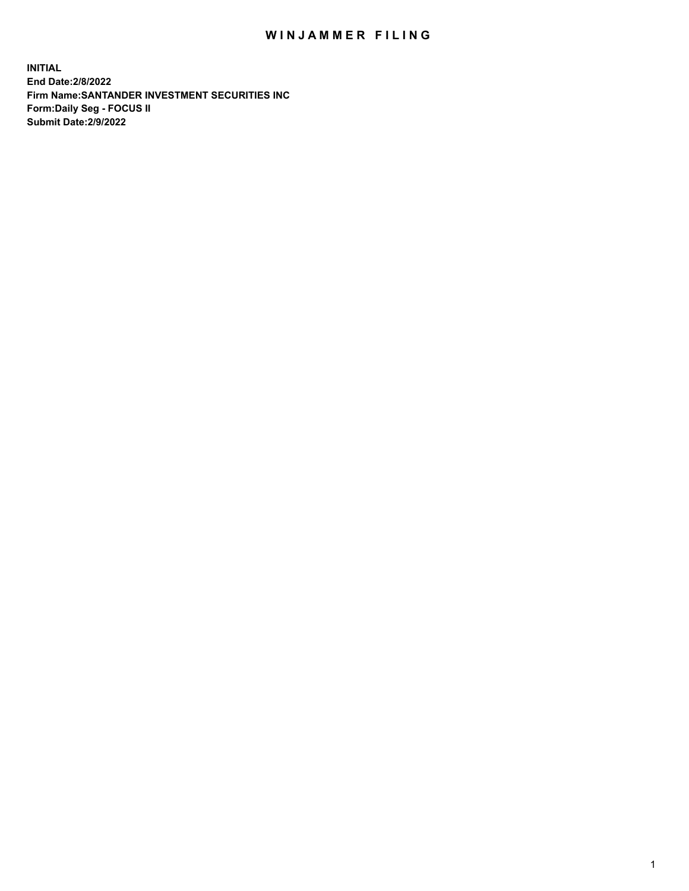## WIN JAMMER FILING

**INITIAL End Date:2/8/2022 Firm Name:SANTANDER INVESTMENT SECURITIES INC Form:Daily Seg - FOCUS II Submit Date:2/9/2022**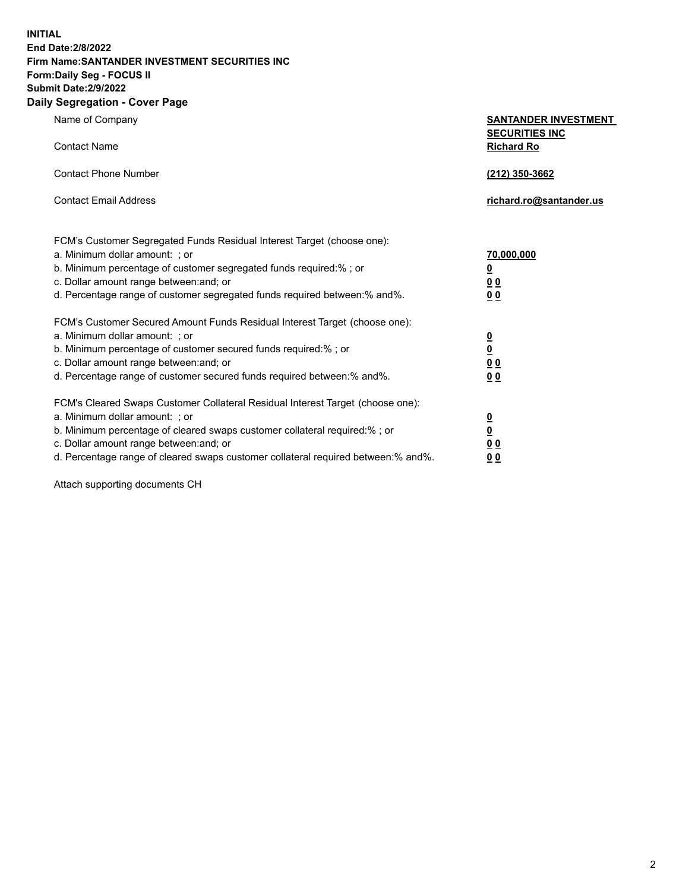**INITIAL End Date:2/8/2022 Firm Name:SANTANDER INVESTMENT SECURITIES INC Form:Daily Seg - FOCUS II Submit Date:2/9/2022 Daily Segregation - Cover Page**

| Name of Company                                                                                          | <b>SANTANDER INVESTMENT</b>                |
|----------------------------------------------------------------------------------------------------------|--------------------------------------------|
| <b>Contact Name</b>                                                                                      | <b>SECURITIES INC</b><br><b>Richard Ro</b> |
| <b>Contact Phone Number</b>                                                                              | (212) 350-3662                             |
| <b>Contact Email Address</b>                                                                             | richard.ro@santander.us                    |
|                                                                                                          |                                            |
| FCM's Customer Segregated Funds Residual Interest Target (choose one):<br>a. Minimum dollar amount: ; or | 70,000,000                                 |
| b. Minimum percentage of customer segregated funds required:% ; or                                       | $\overline{\mathbf{0}}$                    |
| c. Dollar amount range between: and; or                                                                  | 0 <sub>0</sub>                             |
| d. Percentage range of customer segregated funds required between:% and%.                                | 0 <sub>0</sub>                             |
| FCM's Customer Secured Amount Funds Residual Interest Target (choose one):                               |                                            |
| a. Minimum dollar amount: ; or                                                                           | $\frac{0}{0}$                              |
| b. Minimum percentage of customer secured funds required:%; or                                           |                                            |
| c. Dollar amount range between: and; or                                                                  | 0 <sub>0</sub>                             |
| d. Percentage range of customer secured funds required between: % and %.                                 | 0 <sub>0</sub>                             |
| FCM's Cleared Swaps Customer Collateral Residual Interest Target (choose one):                           |                                            |
| a. Minimum dollar amount: ; or                                                                           | $\overline{\mathbf{0}}$                    |
| b. Minimum percentage of cleared swaps customer collateral required:% ; or                               | $\underline{\mathbf{0}}$                   |
| c. Dollar amount range between: and; or                                                                  | 0 <sub>0</sub>                             |
| d. Percentage range of cleared swaps customer collateral required between:% and%.                        | <u>00</u>                                  |

Attach supporting documents CH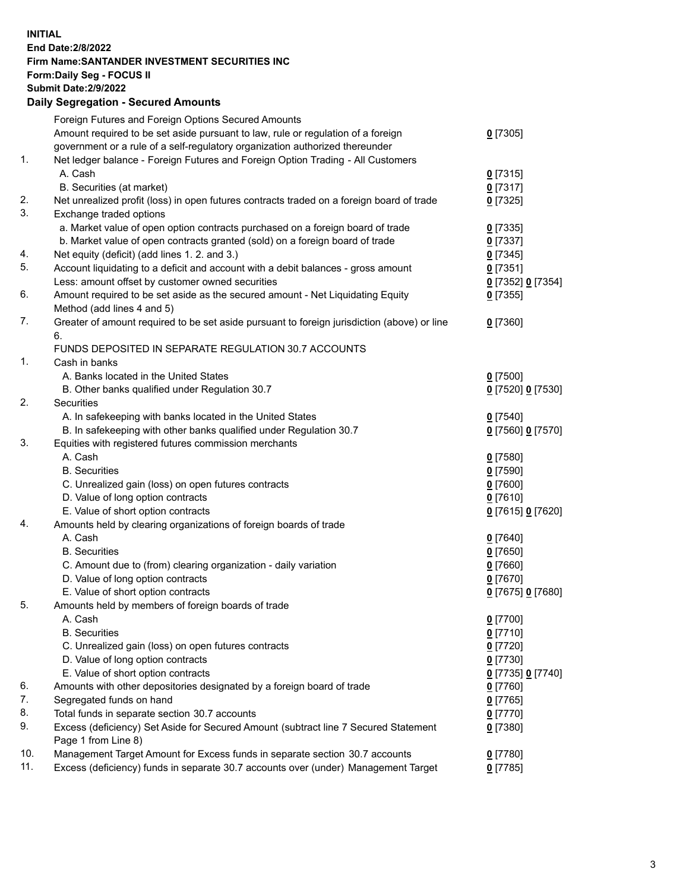## **INITIAL End Date:2/8/2022 Firm Name:SANTANDER INVESTMENT SECURITIES INC Form:Daily Seg - FOCUS II Submit Date:2/9/2022 Daily Segregation - Secured Amounts** Foreign Futures and Foreign Options Secured Amounts Amount required to be set aside pursuant to law, rule or regulation of a foreign government or a rule of a self-regulatory organization authorized thereunder 1. Net ledger balance - Foreign Futures and Foreign Option Trading - All Customers A. Cash **0** [7315] B. Securities (at market) **0** [7317] 2. Net unrealized profit (loss) in open futures contracts traded on a foreign board of trade **0** [7325] 3. Exchange traded options a. Market value of open option contracts purchased on a foreign board of trade **0** [7335] b. Market value of open contracts granted (sold) on a foreign board of trade **0** [7337] 4. Net equity (deficit) (add lines 1. 2. and 3.) **0** [7345] 5. Account liquidating to a deficit and account with a debit balances - gross amount **0** [7351] Less: amount offset by customer owned securities **0** [7352] **0** [7354] 6. Amount required to be set aside as the secured amount - Net Liquidating Equity Method (add lines 4 and 5) 7. Greater of amount required to be set aside pursuant to foreign jurisdiction (above) or line 6. FUNDS DEPOSITED IN SEPARATE REGULATION 30.7 ACCOUNTS 1. Cash in banks A. Banks located in the United States **0** [7500] B. Other banks qualified under Regulation 30.7 **0** [7520] **0** [7530] 2. Securities A. In safekeeping with banks located in the United States **0** [7540]

|     | B. In safekeeping with other banks qualified under Regulation 30.7                  | 0 [7560] 0 [7570] |
|-----|-------------------------------------------------------------------------------------|-------------------|
| 3.  | Equities with registered futures commission merchants                               |                   |
|     | A. Cash                                                                             | $0$ [7580]        |
|     | <b>B.</b> Securities                                                                | $0$ [7590]        |
|     | C. Unrealized gain (loss) on open futures contracts                                 | $0$ [7600]        |
|     | D. Value of long option contracts                                                   | $0$ [7610]        |
|     | E. Value of short option contracts                                                  | 0 [7615] 0 [7620] |
| 4.  | Amounts held by clearing organizations of foreign boards of trade                   |                   |
|     | A. Cash                                                                             | $0$ [7640]        |
|     | <b>B.</b> Securities                                                                | $0$ [7650]        |
|     | C. Amount due to (from) clearing organization - daily variation                     | $0$ [7660]        |
|     | D. Value of long option contracts                                                   | $0$ [7670]        |
|     | E. Value of short option contracts                                                  | 0 [7675] 0 [7680] |
| 5.  | Amounts held by members of foreign boards of trade                                  |                   |
|     | A. Cash                                                                             | $0$ [7700]        |
|     | <b>B.</b> Securities                                                                | $0$ [7710]        |
|     | C. Unrealized gain (loss) on open futures contracts                                 | $0$ [7720]        |
|     | D. Value of long option contracts                                                   | $0$ [7730]        |
|     | E. Value of short option contracts                                                  | 0 [7735] 0 [7740] |
| 6.  | Amounts with other depositories designated by a foreign board of trade              | $0$ [7760]        |
| 7.  | Segregated funds on hand                                                            | $0$ [7765]        |
| 8.  | Total funds in separate section 30.7 accounts                                       | $0$ [7770]        |
| 9.  | Excess (deficiency) Set Aside for Secured Amount (subtract line 7 Secured Statement | $0$ [7380]        |
|     | Page 1 from Line 8)                                                                 |                   |
| 10. | Management Target Amount for Excess funds in separate section 30.7 accounts         | $0$ [7780]        |

11. Excess (deficiency) funds in separate 30.7 accounts over (under) Management Target **0** [7785]

**0** [7305]

**0** [7355]

**0** [7360]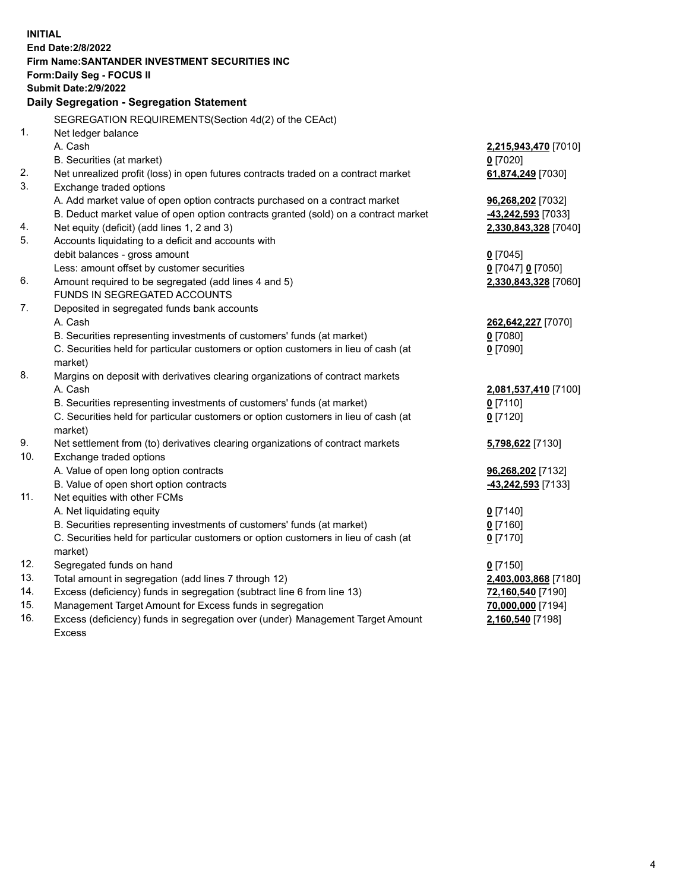| <b>INITIAL</b> | <b>End Date: 2/8/2022</b><br>Firm Name: SANTANDER INVESTMENT SECURITIES INC<br><b>Form:Daily Seg - FOCUS II</b><br><b>Submit Date: 2/9/2022</b><br>Daily Segregation - Segregation Statement |                               |
|----------------|----------------------------------------------------------------------------------------------------------------------------------------------------------------------------------------------|-------------------------------|
|                | SEGREGATION REQUIREMENTS(Section 4d(2) of the CEAct)                                                                                                                                         |                               |
| 1.             | Net ledger balance                                                                                                                                                                           |                               |
|                | A. Cash                                                                                                                                                                                      | 2,215,943,470 [7010]          |
|                | B. Securities (at market)                                                                                                                                                                    | $0$ [7020]                    |
| 2.             | Net unrealized profit (loss) in open futures contracts traded on a contract market                                                                                                           | 61,874,249 [7030]             |
| 3.             | Exchange traded options                                                                                                                                                                      |                               |
|                | A. Add market value of open option contracts purchased on a contract market                                                                                                                  | 96,268,202 [7032]             |
|                | B. Deduct market value of open option contracts granted (sold) on a contract market                                                                                                          | -43,242,593 [7033]            |
| 4.             | Net equity (deficit) (add lines 1, 2 and 3)                                                                                                                                                  | 2,330,843,328 [7040]          |
| 5.             | Accounts liquidating to a deficit and accounts with                                                                                                                                          |                               |
|                | debit balances - gross amount                                                                                                                                                                | $0$ [7045]                    |
|                | Less: amount offset by customer securities                                                                                                                                                   | 0 [7047] 0 [7050]             |
| 6.             | Amount required to be segregated (add lines 4 and 5)                                                                                                                                         | 2,330,843,328 [7060]          |
|                | FUNDS IN SEGREGATED ACCOUNTS                                                                                                                                                                 |                               |
| 7.             | Deposited in segregated funds bank accounts                                                                                                                                                  |                               |
|                | A. Cash                                                                                                                                                                                      | 262,642,227 [7070]            |
|                | B. Securities representing investments of customers' funds (at market)                                                                                                                       | $0$ [7080]                    |
|                | C. Securities held for particular customers or option customers in lieu of cash (at                                                                                                          | $0$ [7090]                    |
|                | market)                                                                                                                                                                                      |                               |
| 8.             | Margins on deposit with derivatives clearing organizations of contract markets                                                                                                               |                               |
|                | A. Cash                                                                                                                                                                                      | 2,081,537,410 [7100]          |
|                | B. Securities representing investments of customers' funds (at market)                                                                                                                       | $0$ [7110]                    |
|                | C. Securities held for particular customers or option customers in lieu of cash (at                                                                                                          | $0$ [7120]                    |
|                | market)                                                                                                                                                                                      |                               |
| 9.             | Net settlement from (to) derivatives clearing organizations of contract markets                                                                                                              | 5,798,622 [7130]              |
| 10.            | Exchange traded options                                                                                                                                                                      |                               |
|                | A. Value of open long option contracts                                                                                                                                                       | 96,268,202 [7132]             |
|                | B. Value of open short option contracts                                                                                                                                                      | -43,242,593 <sup>[7133]</sup> |
| 11.            | Net equities with other FCMs                                                                                                                                                                 |                               |
|                | A. Net liquidating equity                                                                                                                                                                    | $0$ [7140]                    |
|                | B. Securities representing investments of customers' funds (at market)                                                                                                                       | $0$ [7160]                    |
|                | C. Securities held for particular customers or option customers in lieu of cash (at<br>market)                                                                                               | $0$ [7170]                    |
| 12.            | Segregated funds on hand                                                                                                                                                                     | $0$ [7150]                    |
| 13.            | Total amount in segregation (add lines 7 through 12)                                                                                                                                         | 2,403,003,868 [7180]          |
| 14.            | Excess (deficiency) funds in segregation (subtract line 6 from line 13)                                                                                                                      | 72,160,540 [7190]             |
| 15.            | Management Target Amount for Excess funds in segregation                                                                                                                                     | 70,000,000 [7194]             |
| 16.            | Excess (deficiency) funds in segregation over (under) Management Target Amount                                                                                                               | 2,160,540 [7198]              |
|                | <b>Excess</b>                                                                                                                                                                                |                               |